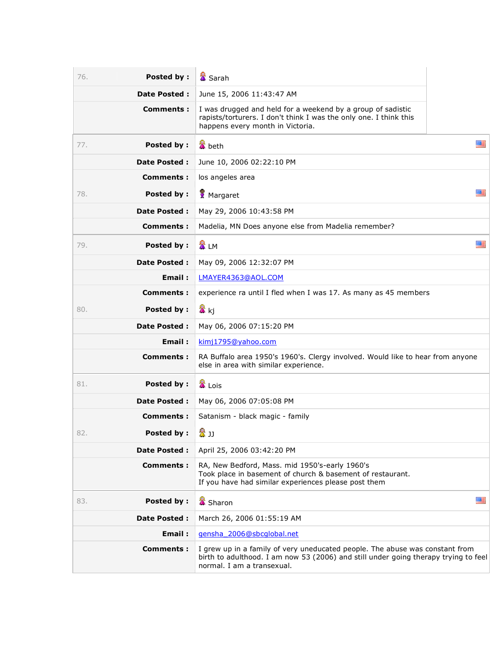| Posted by:<br>76.        | <b>■</b> Sarah                                                                                                                                                                                    |   |
|--------------------------|---------------------------------------------------------------------------------------------------------------------------------------------------------------------------------------------------|---|
| <b>Date Posted:</b>      | June 15, 2006 11:43:47 AM                                                                                                                                                                         |   |
| Comments:                | I was drugged and held for a weekend by a group of sadistic<br>rapists/torturers. I don't think I was the only one. I think this<br>happens every month in Victoria.                              |   |
| <b>Posted by:</b><br>77. | <b>置</b> beth                                                                                                                                                                                     | 雁 |
| <b>Date Posted:</b>      | June 10, 2006 02:22:10 PM                                                                                                                                                                         |   |
| <b>Comments:</b>         | los angeles area                                                                                                                                                                                  |   |
| Posted by:<br>78.        | 雁<br>Margaret                                                                                                                                                                                     |   |
| <b>Date Posted:</b>      | May 29, 2006 10:43:58 PM                                                                                                                                                                          |   |
| <b>Comments:</b>         | Madelia, MN Does anyone else from Madelia remember?                                                                                                                                               |   |
| <b>Posted by:</b><br>79. | 置 LM                                                                                                                                                                                              | 座 |
| <b>Date Posted:</b>      | May 09, 2006 12:32:07 PM                                                                                                                                                                          |   |
| Email:                   | LMAYER4363@AOL.COM                                                                                                                                                                                |   |
| Comments:                | experience ra until I fled when I was 17. As many as 45 members                                                                                                                                   |   |
| Posted by:<br>80.        | <mark>公</mark> kj                                                                                                                                                                                 |   |
| <b>Date Posted:</b>      | May 06, 2006 07:15:20 PM                                                                                                                                                                          |   |
| Email:                   | kimj1795@yahoo.com                                                                                                                                                                                |   |
| Comments :               | RA Buffalo area 1950's 1960's. Clergy involved. Would like to hear from anyone<br>else in area with similar experience.                                                                           |   |
| <b>Posted by:</b><br>81. | <b>置</b> Lois                                                                                                                                                                                     |   |
| Date Posted :            | May 06, 2006 07:05:08 PM                                                                                                                                                                          |   |
| Comments:                | Satanism - black magic - family                                                                                                                                                                   |   |
| 82.<br><b>Posted by:</b> | 魯」                                                                                                                                                                                                |   |
| Date Posted :            | April 25, 2006 03:42:20 PM                                                                                                                                                                        |   |
| <b>Comments:</b>         | RA, New Bedford, Mass. mid 1950's-early 1960's<br>Took place in basement of church & basement of restaurant.<br>If you have had similar experiences please post them                              |   |
| <b>Posted by:</b><br>83. | <b>X</b> Sharon                                                                                                                                                                                   | 羅 |
| Date Posted :            | March 26, 2006 01:55:19 AM                                                                                                                                                                        |   |
| Email:                   | gensha 2006@sbcqlobal.net                                                                                                                                                                         |   |
| <b>Comments:</b>         | I grew up in a family of very uneducated people. The abuse was constant from<br>birth to adulthood. I am now 53 (2006) and still under going therapy trying to feel<br>normal. I am a transexual. |   |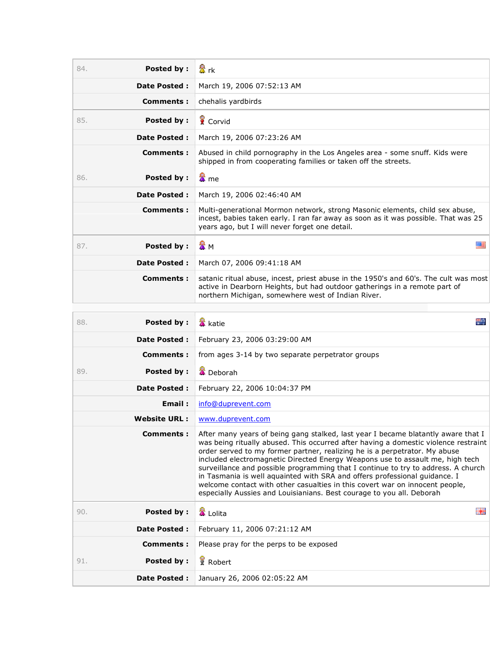| <b>Posted by:</b><br>84. | 盘rk                                                                                                                                                                                                                                                                                                                                                                                                                                                                                                                                                                                                                                                                 |  |
|--------------------------|---------------------------------------------------------------------------------------------------------------------------------------------------------------------------------------------------------------------------------------------------------------------------------------------------------------------------------------------------------------------------------------------------------------------------------------------------------------------------------------------------------------------------------------------------------------------------------------------------------------------------------------------------------------------|--|
| <b>Date Posted:</b>      | March 19, 2006 07:52:13 AM                                                                                                                                                                                                                                                                                                                                                                                                                                                                                                                                                                                                                                          |  |
| Comments :               | chehalis yardbirds                                                                                                                                                                                                                                                                                                                                                                                                                                                                                                                                                                                                                                                  |  |
| 85.<br>Posted by:        | Corvid                                                                                                                                                                                                                                                                                                                                                                                                                                                                                                                                                                                                                                                              |  |
| <b>Date Posted:</b>      | March 19, 2006 07:23:26 AM                                                                                                                                                                                                                                                                                                                                                                                                                                                                                                                                                                                                                                          |  |
| Comments :               | Abused in child pornography in the Los Angeles area - some snuff. Kids were<br>shipped in from cooperating families or taken off the streets.                                                                                                                                                                                                                                                                                                                                                                                                                                                                                                                       |  |
| Posted by:<br>86.        | 魯 me                                                                                                                                                                                                                                                                                                                                                                                                                                                                                                                                                                                                                                                                |  |
| <b>Date Posted:</b>      | March 19, 2006 02:46:40 AM                                                                                                                                                                                                                                                                                                                                                                                                                                                                                                                                                                                                                                          |  |
| Comments:                | Multi-generational Mormon network, strong Masonic elements, child sex abuse,<br>incest, babies taken early. I ran far away as soon as it was possible. That was 25<br>years ago, but I will never forget one detail.                                                                                                                                                                                                                                                                                                                                                                                                                                                |  |
| <b>Posted by:</b><br>87. | ☎м<br>羅                                                                                                                                                                                                                                                                                                                                                                                                                                                                                                                                                                                                                                                             |  |
| <b>Date Posted:</b>      | March 07, 2006 09:41:18 AM                                                                                                                                                                                                                                                                                                                                                                                                                                                                                                                                                                                                                                          |  |
| Comments:                | satanic ritual abuse, incest, priest abuse in the 1950's and 60's. The cult was most<br>active in Dearborn Heights, but had outdoor gatherings in a remote part of<br>northern Michigan, somewhere west of Indian River.                                                                                                                                                                                                                                                                                                                                                                                                                                            |  |
|                          |                                                                                                                                                                                                                                                                                                                                                                                                                                                                                                                                                                                                                                                                     |  |
| <b>Posted by:</b><br>88. | ÷.<br><b>&amp;</b> katie                                                                                                                                                                                                                                                                                                                                                                                                                                                                                                                                                                                                                                            |  |
| <b>Date Posted:</b>      | February 23, 2006 03:29:00 AM                                                                                                                                                                                                                                                                                                                                                                                                                                                                                                                                                                                                                                       |  |
| Comments :               | from ages 3-14 by two separate perpetrator groups                                                                                                                                                                                                                                                                                                                                                                                                                                                                                                                                                                                                                   |  |
| Posted by:<br>89.        | <b>X</b> Deborah                                                                                                                                                                                                                                                                                                                                                                                                                                                                                                                                                                                                                                                    |  |
| <b>Date Posted:</b>      | February 22, 2006 10:04:37 PM                                                                                                                                                                                                                                                                                                                                                                                                                                                                                                                                                                                                                                       |  |
| Email:                   | info@duprevent.com                                                                                                                                                                                                                                                                                                                                                                                                                                                                                                                                                                                                                                                  |  |
| <b>Website URL:</b>      | www.duprevent.com                                                                                                                                                                                                                                                                                                                                                                                                                                                                                                                                                                                                                                                   |  |
| Comments :               | After many years of being gang stalked, last year I became blatantly aware that I<br>was being ritually abused. This occurred after having a domestic violence restraint<br>order served to my former partner, realizing he is a perpetrator. My abuse<br>included electromagnetic Directed Energy Weapons use to assault me, high tech<br>surveillance and possible programming that I continue to try to address. A church<br>in Tasmania is well aquainted with SRA and offers professional guidance. I<br>welcome contact with other casualties in this covert war on innocent people,<br>especially Aussies and Louisianians. Best courage to you all. Deborah |  |
| 90.<br><b>Posted by:</b> | Ba<br><b>■</b> Lolita                                                                                                                                                                                                                                                                                                                                                                                                                                                                                                                                                                                                                                               |  |
| <b>Date Posted:</b>      | February 11, 2006 07:21:12 AM                                                                                                                                                                                                                                                                                                                                                                                                                                                                                                                                                                                                                                       |  |
| <b>Comments:</b>         | Please pray for the perps to be exposed                                                                                                                                                                                                                                                                                                                                                                                                                                                                                                                                                                                                                             |  |
| <b>Posted by:</b><br>91. | Robert                                                                                                                                                                                                                                                                                                                                                                                                                                                                                                                                                                                                                                                              |  |
| <b>Date Posted:</b>      | January 26, 2006 02:05:22 AM                                                                                                                                                                                                                                                                                                                                                                                                                                                                                                                                                                                                                                        |  |